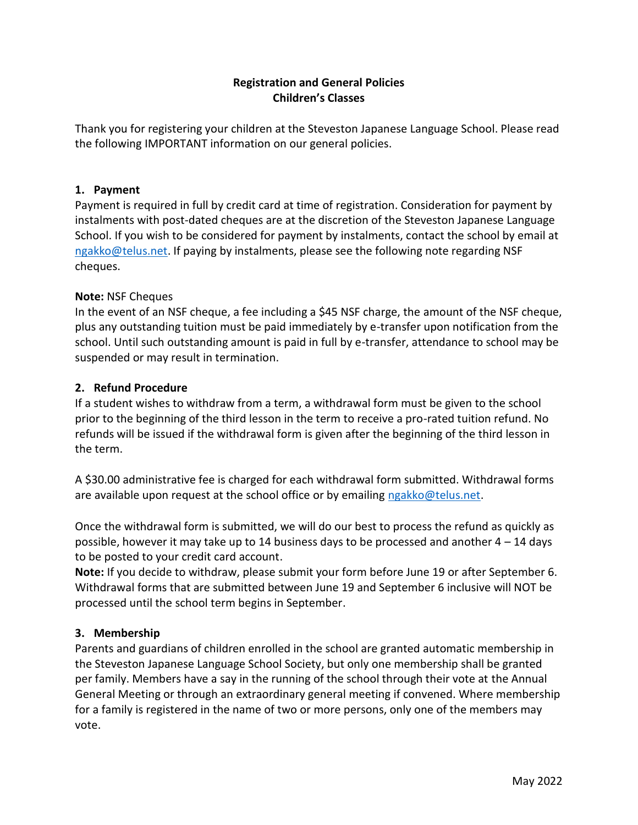# **Registration and General Policies Children's Classes**

Thank you for registering your children at the Steveston Japanese Language School. Please read the following IMPORTANT information on our general policies.

### **1. Payment**

Payment is required in full by credit card at time of registration. Consideration for payment by instalments with post-dated cheques are at the discretion of the Steveston Japanese Language School. If you wish to be considered for payment by instalments, contact the school by email at [ngakko@telus.net.](mailto:ngakko@telus.net) If paying by instalments, please see the following note regarding NSF cheques.

# **Note:** NSF Cheques

In the event of an NSF cheque, a fee including a \$45 NSF charge, the amount of the NSF cheque, plus any outstanding tuition must be paid immediately by e-transfer upon notification from the school. Until such outstanding amount is paid in full by e-transfer, attendance to school may be suspended or may result in termination.

### **2. Refund Procedure**

If a student wishes to withdraw from a term, a withdrawal form must be given to the school prior to the beginning of the third lesson in the term to receive a pro-rated tuition refund. No refunds will be issued if the withdrawal form is given after the beginning of the third lesson in the term.

A \$30.00 administrative fee is charged for each withdrawal form submitted. Withdrawal forms are available upon request at the school office or by emailing [ngakko@telus.net.](mailto:ngakko@telus.net)

Once the withdrawal form is submitted, we will do our best to process the refund as quickly as possible, however it may take up to 14 business days to be processed and another  $4 - 14$  days to be posted to your credit card account.

**Note:** If you decide to withdraw, please submit your form before June 19 or after September 6. Withdrawal forms that are submitted between June 19 and September 6 inclusive will NOT be processed until the school term begins in September.

# **3. Membership**

Parents and guardians of children enrolled in the school are granted automatic membership in the Steveston Japanese Language School Society, but only one membership shall be granted per family. Members have a say in the running of the school through their vote at the Annual General Meeting or through an extraordinary general meeting if convened. Where membership for a family is registered in the name of two or more persons, only one of the members may vote.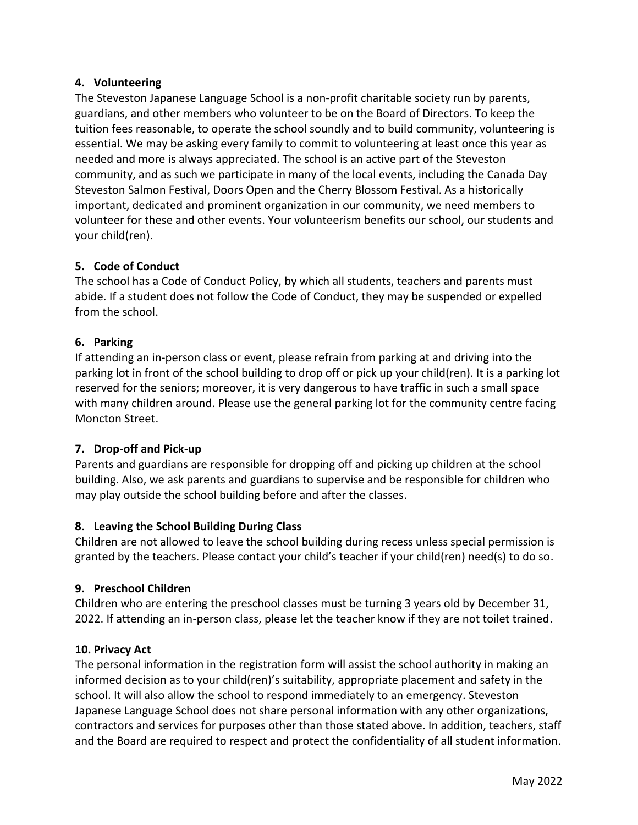# **4. Volunteering**

The Steveston Japanese Language School is a non-profit charitable society run by parents, guardians, and other members who volunteer to be on the Board of Directors. To keep the tuition fees reasonable, to operate the school soundly and to build community, volunteering is essential. We may be asking every family to commit to volunteering at least once this year as needed and more is always appreciated. The school is an active part of the Steveston community, and as such we participate in many of the local events, including the Canada Day Steveston Salmon Festival, Doors Open and the Cherry Blossom Festival. As a historically important, dedicated and prominent organization in our community, we need members to volunteer for these and other events. Your volunteerism benefits our school, our students and your child(ren).

# **5. Code of Conduct**

The school has a Code of Conduct Policy, by which all students, teachers and parents must abide. If a student does not follow the Code of Conduct, they may be suspended or expelled from the school.

# **6. Parking**

If attending an in-person class or event, please refrain from parking at and driving into the parking lot in front of the school building to drop off or pick up your child(ren). It is a parking lot reserved for the seniors; moreover, it is very dangerous to have traffic in such a small space with many children around. Please use the general parking lot for the community centre facing Moncton Street.

### **7. Drop-off and Pick-up**

Parents and guardians are responsible for dropping off and picking up children at the school building. Also, we ask parents and guardians to supervise and be responsible for children who may play outside the school building before and after the classes.

### **8. Leaving the School Building During Class**

Children are not allowed to leave the school building during recess unless special permission is granted by the teachers. Please contact your child's teacher if your child(ren) need(s) to do so.

### **9. Preschool Children**

Children who are entering the preschool classes must be turning 3 years old by December 31, 2022. If attending an in-person class, please let the teacher know if they are not toilet trained.

### **10. Privacy Act**

The personal information in the registration form will assist the school authority in making an informed decision as to your child(ren)'s suitability, appropriate placement and safety in the school. It will also allow the school to respond immediately to an emergency. Steveston Japanese Language School does not share personal information with any other organizations, contractors and services for purposes other than those stated above. In addition, teachers, staff and the Board are required to respect and protect the confidentiality of all student information.